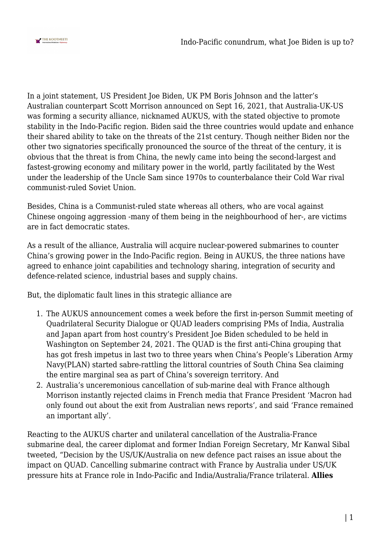

In a joint statement, US President Joe Biden, UK PM Boris Johnson and the latter's Australian counterpart Scott Morrison announced on Sept 16, 2021, that Australia-UK-US was forming a security alliance, nicknamed AUKUS, with the stated objective to promote stability in the Indo-Pacific region. Biden said the three countries would update and enhance their shared ability to take on the threats of the 21st century. Though neither Biden nor the other two signatories specifically pronounced the source of the threat of the century, it is obvious that the threat is from China, the newly came into being the second-largest and fastest-growing economy and military power in the world, partly facilitated by the West under the leadership of the Uncle Sam since 1970s to counterbalance their Cold War rival communist-ruled Soviet Union.

Besides, China is a Communist-ruled state whereas all others, who are vocal against Chinese ongoing aggression -many of them being in the neighbourhood of her-, are victims are in fact democratic states.

As a result of the alliance, Australia will acquire nuclear-powered submarines to counter China's growing power in the Indo-Pacific region. Being in AUKUS, the three nations have agreed to enhance joint capabilities and technology sharing, integration of security and defence-related science, industrial bases and supply chains.

But, the diplomatic fault lines in this strategic alliance are

- 1. The AUKUS announcement comes a week before the first in-person Summit meeting of Quadrilateral Security Dialogue or QUAD leaders comprising PMs of India, Australia and Japan apart from host country's President Joe Biden scheduled to be held in Washington on September 24, 2021. The QUAD is the first anti-China grouping that has got fresh impetus in last two to three years when China's People's Liberation Army Navy(PLAN) started sabre-rattling the littoral countries of South China Sea claiming the entire marginal sea as part of China's sovereign territory. And
- 2. Australia's unceremonious cancellation of sub-marine deal with France although Morrison instantly rejected claims in French media that France President 'Macron had only found out about the exit from Australian news reports', and said 'France remained an important ally'.

Reacting to the AUKUS charter and unilateral cancellation of the Australia-France submarine deal, the career diplomat and former Indian Foreign Secretary, Mr Kanwal Sibal tweeted, "Decision by the US/UK/Australia on new defence pact raises an issue about the impact on QUAD. Cancelling submarine contract with France by Australia under US/UK pressure hits at France role in Indo-Pacific and India/Australia/France trilateral. **Allies**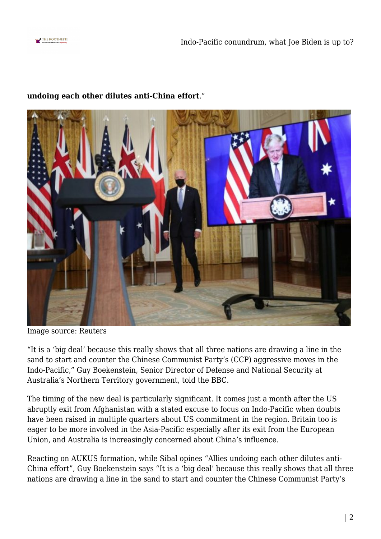



## **undoing each other dilutes anti-China effort**."

Image source: Reuters

"It is a 'big deal' because this really shows that all three nations are drawing a line in the sand to start and counter the Chinese Communist Party's (CCP) aggressive moves in the Indo-Pacific," Guy Boekenstein, Senior Director of Defense and National Security at Australia's Northern Territory government, told the BBC.

The timing of the new deal is particularly significant. It comes just a month after the US abruptly exit from Afghanistan with a stated excuse to focus on Indo-Pacific when doubts have been raised in multiple quarters about US commitment in the region. Britain too is eager to be more involved in the Asia-Pacific especially after its exit from the European Union, and Australia is increasingly concerned about China's influence.

Reacting on AUKUS formation, while Sibal opines "Allies undoing each other dilutes anti-China effort", Guy Boekenstein says "It is a 'big deal' because this really shows that all three nations are drawing a line in the sand to start and counter the Chinese Communist Party's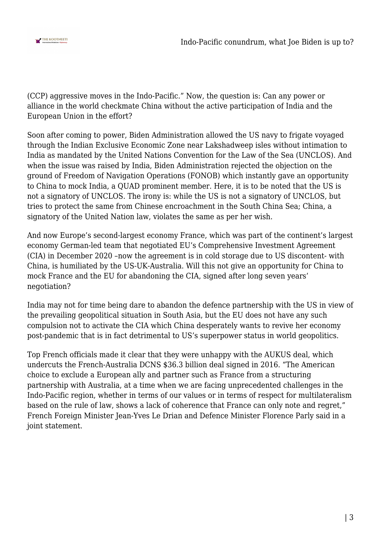

(CCP) aggressive moves in the Indo-Pacific." Now, the question is: Can any power or alliance in the world checkmate China without the active participation of India and the European Union in the effort?

Soon after coming to power, Biden Administration allowed the US navy to frigate voyaged through the Indian Exclusive Economic Zone near Lakshadweep isles without intimation to India as mandated by the United Nations Convention for the Law of the Sea (UNCLOS). And when the issue was raised by India, Biden Administration rejected the objection on the ground of Freedom of Navigation Operations (FONOB) which instantly gave an opportunity to China to mock India, a QUAD prominent member. Here, it is to be noted that the US is not a signatory of UNCLOS. The irony is: while the US is not a signatory of UNCLOS, but tries to protect the same from Chinese encroachment in the South China Sea; China, a signatory of the United Nation law, violates the same as per her wish.

And now Europe's second-largest economy France, which was part of the continent's largest economy German-led team that negotiated EU's Comprehensive Investment Agreement (CIA) in December 2020 –now the agreement is in cold storage due to US discontent- with China, is humiliated by the US-UK-Australia. Will this not give an opportunity for China to mock France and the EU for abandoning the CIA, signed after long seven years' negotiation?

India may not for time being dare to abandon the defence partnership with the US in view of the prevailing geopolitical situation in South Asia, but the EU does not have any such compulsion not to activate the CIA which China desperately wants to revive her economy post-pandemic that is in fact detrimental to US's superpower status in world geopolitics.

Top French officials made it clear that they were unhappy with the AUKUS deal, which undercuts the French-Australia DCNS \$36.3 billion deal signed in 2016. "The American choice to exclude a European ally and partner such as France from a structuring partnership with Australia, at a time when we are facing unprecedented challenges in the Indo-Pacific region, whether in terms of our values or in terms of respect for multilateralism based on the rule of law, shows a lack of coherence that France can only note and regret," French Foreign Minister Jean-Yves Le Drian and Defence Minister Florence Parly said in a joint statement.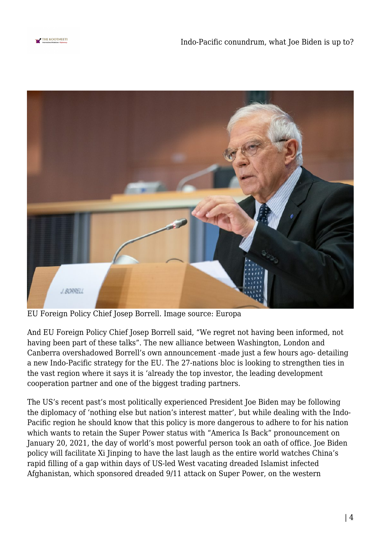



EU Foreign Policy Chief Josep Borrell. Image source: Europa

And EU Foreign Policy Chief Josep Borrell said, "We regret not having been informed, not having been part of these talks". The new alliance between Washington, London and Canberra overshadowed Borrell's own announcement -made just a few hours ago- detailing a new Indo-Pacific strategy for the EU. The 27-nations bloc is looking to strengthen ties in the vast region where it says it is 'already the top investor, the leading development cooperation partner and one of the biggest trading partners.

The US's recent past's most politically experienced President Joe Biden may be following the diplomacy of 'nothing else but nation's interest matter', but while dealing with the Indo-Pacific region he should know that this policy is more dangerous to adhere to for his nation which wants to retain the Super Power status with "America Is Back" pronouncement on January 20, 2021, the day of world's most powerful person took an oath of office. Joe Biden policy will facilitate Xi Jinping to have the last laugh as the entire world watches China's rapid filling of a gap within days of US-led West vacating dreaded Islamist infected Afghanistan, which sponsored dreaded 9/11 attack on Super Power, on the western